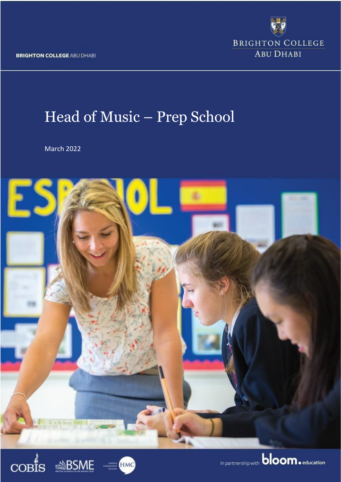**BRIGHTON COLLEGE ABU DHABI** 

**BRIGHTON COLLEGE ABU DHABI** 

# Head of Music – Prep School

March 2022





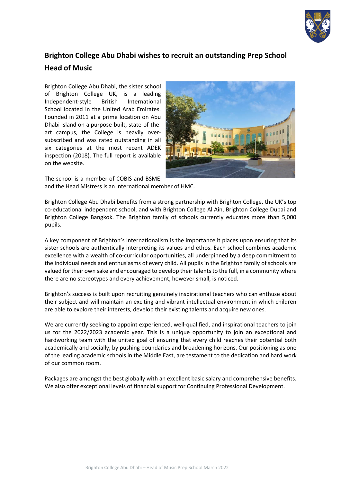

# **Brighton College Abu Dhabi wishes to recruit an outstanding Prep School Head of Music**

Brighton College Abu Dhabi, the sister school of Brighton College UK, is a leading Independent-style British International School located in the United Arab Emirates. Founded in 2011 at a prime location on Abu Dhabi Island on a purpose-built, state-of-theart campus, the College is heavily oversubscribed and was rated outstanding in all six categories at the most recent ADEK inspection (2018). The full report is available on the website.



The school is a member of COBIS and BSME and the Head Mistress is an international member of HMC.

Brighton College Abu Dhabi benefits from a strong partnership with Brighton College, the UK's top co-educational independent school, and with Brighton College Al Ain, Brighton College Dubai and Brighton College Bangkok. The Brighton family of schools currently educates more than 5,000 pupils.

A key component of Brighton's internationalism is the importance it places upon ensuring that its sister schools are authentically interpreting its values and ethos. Each school combines academic excellence with a wealth of co-curricular opportunities, all underpinned by a deep commitment to the individual needs and enthusiasms of every child. All pupils in the Brighton family of schools are valued for their own sake and encouraged to develop their talents to the full, in a community where there are no stereotypes and every achievement, however small, is noticed.

Brighton's success is built upon recruiting genuinely inspirational teachers who can enthuse about their subject and will maintain an exciting and vibrant intellectual environment in which children are able to explore their interests, develop their existing talents and acquire new ones.

We are currently seeking to appoint experienced, well-qualified, and inspirational teachers to join us for the 2022/2023 academic year. This is a unique opportunity to join an exceptional and hardworking team with the united goal of ensuring that every child reaches their potential both academically and socially, by pushing boundaries and broadening horizons. Our positioning as one of the leading academic schools in the Middle East, are testament to the dedication and hard work of our common room.

Packages are amongst the best globally with an excellent basic salary and comprehensive benefits. We also offer exceptional levels of financial support for Continuing Professional Development.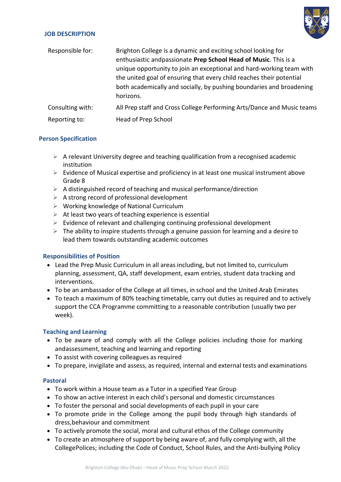#### **JOB DESCRIPTION**



| Responsible for: | Brighton College is a dynamic and exciting school looking for<br>enthusiastic and passionate Prep School Head of Music. This is a<br>unique opportunity to join an exceptional and hard-working team with<br>the united goal of ensuring that every child reaches their potential<br>both academically and socially, by pushing boundaries and broadening<br>horizons. |
|------------------|------------------------------------------------------------------------------------------------------------------------------------------------------------------------------------------------------------------------------------------------------------------------------------------------------------------------------------------------------------------------|
| Consulting with: | All Prep staff and Cross College Performing Arts/Dance and Music teams                                                                                                                                                                                                                                                                                                 |
| Reporting to:    | Head of Prep School                                                                                                                                                                                                                                                                                                                                                    |

# **Person Specification**

- $\triangleright$  A relevant University degree and teaching qualification from a recognised academic institution
- $\triangleright$  Evidence of Musical expertise and proficiency in at least one musical instrument above Grade 8
- $\triangleright$  A distinguished record of teaching and musical performance/direction
- $\triangleright$  A strong record of professional development
- ➢ Working knowledge of National Curriculum
- $\triangleright$  At least two years of teaching experience is essential
- $\triangleright$  Evidence of relevant and challenging continuing professional development
- $\triangleright$  The ability to inspire students through a genuine passion for learning and a desire to lead them towards outstanding academic outcomes

# **Responsibilities of Position**

- Lead the Prep Music Curriculum in all areas including, but not limited to, curriculum planning, assessment, QA, staff development, exam entries, student data tracking and interventions.
- To be an ambassador of the College at all times, in school and the United Arab Emirates
- To teach a maximum of 80% teaching timetable, carry out duties as required and to actively support the CCA Programme committing to a reasonable contribution (usually two per week).

# **Teaching and Learning**

- To be aware of and comply with all the College policies including those for marking andassessment, teaching and learning and reporting
- To assist with covering colleagues as required
- To prepare, invigilate and assess, as required, internal and external tests and examinations

# **Pastoral**

- To work within a House team as a Tutor in a specified Year Group
- To show an active interest in each child's personal and domestic circumstances
- To foster the personal and social developments of each pupil in your care
- To promote pride in the College among the pupil body through high standards of dress,behaviour and commitment
- To actively promote the social, moral and cultural ethos of the College community
- To create an atmosphere of support by being aware of, and fully complying with, all the CollegePolices; including the Code of Conduct, School Rules, and the Anti-bullying Policy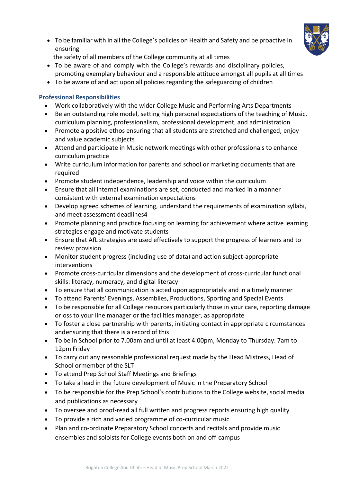• To be familiar with in all the College's policies on Health and Safety and be proactive in ensuring



the safety of all members of the College community at all times

- To be aware of and comply with the College's rewards and disciplinary policies, promoting exemplary behaviour and a responsible attitude amongst all pupils at all times
- To be aware of and act upon all policies regarding the safeguarding of children

# **Professional Responsibilities**

- Work collaboratively with the wider College Music and Performing Arts Departments
- Be an outstanding role model, setting high personal expectations of the teaching of Music, curriculum planning, professionalism, professional development, and administration
- Promote a positive ethos ensuring that all students are stretched and challenged, enjoy and value academic subjects
- Attend and participate in Music network meetings with other professionals to enhance curriculum practice
- Write curriculum information for parents and school or marketing documents that are required
- Promote student independence, leadership and voice within the curriculum
- Ensure that all internal examinations are set, conducted and marked in a manner consistent with external examination expectations
- Develop agreed schemes of learning, understand the requirements of examination syllabi, and meet assessment deadlines4
- Promote planning and practice focusing on learning for achievement where active learning strategies engage and motivate students
- Ensure that AfL strategies are used effectively to support the progress of learners and to review provision
- Monitor student progress (including use of data) and action subject-appropriate interventions
- Promote cross-curricular dimensions and the development of cross-curricular functional skills: literacy, numeracy, and digital literacy
- To ensure that all communication is acted upon appropriately and in a timely manner
- To attend Parents' Evenings, Assemblies, Productions, Sporting and Special Events
- To be responsible for all College resources particularly those in your care, reporting damage orloss to your line manager or the facilities manager, as appropriate
- To foster a close partnership with parents, initiating contact in appropriate circumstances andensuring that there is a record of this
- To be in School prior to 7.00am and until at least 4:00pm, Monday to Thursday. 7am to 12pm Friday
- To carry out any reasonable professional request made by the Head Mistress, Head of School ormember of the SLT
- To attend Prep School Staff Meetings and Briefings
- To take a lead in the future development of Music in the Preparatory School
- To be responsible for the Prep School's contributions to the College website, social media and publications as necessary
- To oversee and proof-read all full written and progress reports ensuring high quality
- To provide a rich and varied programme of co-curricular music
- Plan and co-ordinate Preparatory School concerts and recitals and provide music ensembles and soloists for College events both on and off-campus